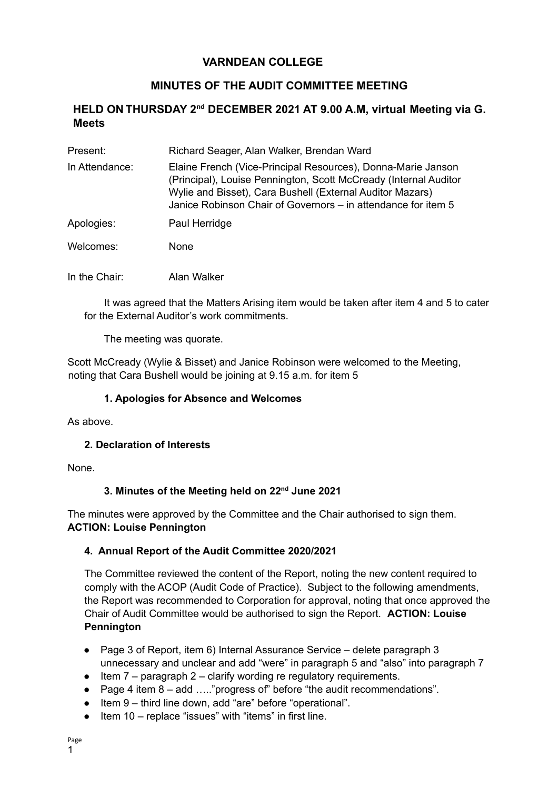## **VARNDEAN COLLEGE**

# **MINUTES OF THE AUDIT COMMITTEE MEETING**

### **HELD ON THURSDAY 2nd DECEMBER 2021 AT 9.00 A.M, virtual Meeting via G. Meets**

| Present:       | Richard Seager, Alan Walker, Brendan Ward                                                                                                                                                                                                                      |
|----------------|----------------------------------------------------------------------------------------------------------------------------------------------------------------------------------------------------------------------------------------------------------------|
| In Attendance: | Elaine French (Vice-Principal Resources), Donna-Marie Janson<br>(Principal), Louise Pennington, Scott McCready (Internal Auditor<br>Wylie and Bisset), Cara Bushell (External Auditor Mazars)<br>Janice Robinson Chair of Governors – in attendance for item 5 |
| Apologies:     | Paul Herridge                                                                                                                                                                                                                                                  |
| Welcomes:      | None.                                                                                                                                                                                                                                                          |

In the Chair: Alan Walker

It was agreed that the Matters Arising item would be taken after item 4 and 5 to cater for the External Auditor's work commitments.

The meeting was quorate.

Scott McCready (Wylie & Bisset) and Janice Robinson were welcomed to the Meeting, noting that Cara Bushell would be joining at 9.15 a.m. for item 5

#### **1. Apologies for Absence and Welcomes**

As above.

#### **2. Declaration of Interests**

None.

#### **3. Minutes of the Meeting held on 22 nd June 2021**

The minutes were approved by the Committee and the Chair authorised to sign them. **ACTION: Louise Pennington**

#### **4. Annual Report of the Audit Committee 2020/2021**

The Committee reviewed the content of the Report, noting the new content required to comply with the ACOP (Audit Code of Practice). Subject to the following amendments, the Report was recommended to Corporation for approval, noting that once approved the Chair of Audit Committee would be authorised to sign the Report. **ACTION: Louise Pennington**

- Page 3 of Report, item 6) Internal Assurance Service delete paragraph 3 unnecessary and unclear and add "were" in paragraph 5 and "also" into paragraph 7
- $\bullet$  Item 7 paragraph 2 clarify wording re regulatory requirements.
- Page 4 item 8 add ....." progress of before "the audit recommendations".
- Item 9 third line down, add "are" before "operational".
- Item 10 replace "issues" with "items" in first line.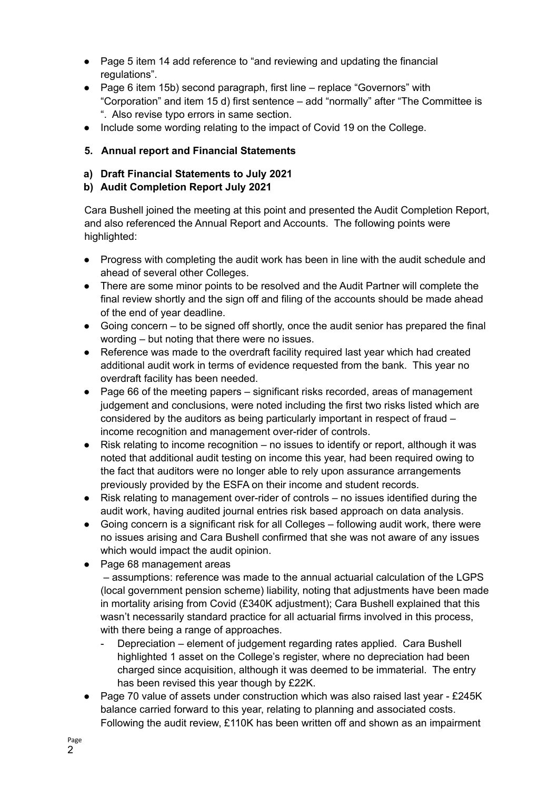- Page 5 item 14 add reference to "and reviewing and updating the financial regulations".
- Page 6 item 15b) second paragraph, first line replace "Governors" with "Corporation" and item 15 d) first sentence – add "normally" after "The Committee is ". Also revise typo errors in same section.
- Include some wording relating to the impact of Covid 19 on the College.

### **5. Annual report and Financial Statements**

- **a) Draft Financial Statements to July 2021**
- **b) Audit Completion Report July 2021**

Cara Bushell joined the meeting at this point and presented the Audit Completion Report, and also referenced the Annual Report and Accounts. The following points were highlighted:

- Progress with completing the audit work has been in line with the audit schedule and ahead of several other Colleges.
- There are some minor points to be resolved and the Audit Partner will complete the final review shortly and the sign off and filing of the accounts should be made ahead of the end of year deadline.
- $\bullet$  Going concern to be signed off shortly, once the audit senior has prepared the final wording – but noting that there were no issues.
- Reference was made to the overdraft facility required last year which had created additional audit work in terms of evidence requested from the bank. This year no overdraft facility has been needed.
- Page 66 of the meeting papers significant risks recorded, areas of management judgement and conclusions, were noted including the first two risks listed which are considered by the auditors as being particularly important in respect of fraud – income recognition and management over-rider of controls.
- Risk relating to income recognition no issues to identify or report, although it was noted that additional audit testing on income this year, had been required owing to the fact that auditors were no longer able to rely upon assurance arrangements previously provided by the ESFA on their income and student records.
- Risk relating to management over-rider of controls no issues identified during the audit work, having audited journal entries risk based approach on data analysis.
- Going concern is a significant risk for all Colleges following audit work, there were no issues arising and Cara Bushell confirmed that she was not aware of any issues which would impact the audit opinion.
- Page 68 management areas

– assumptions: reference was made to the annual actuarial calculation of the LGPS (local government pension scheme) liability, noting that adjustments have been made in mortality arising from Covid (£340K adjustment); Cara Bushell explained that this wasn't necessarily standard practice for all actuarial firms involved in this process, with there being a range of approaches.

- Depreciation element of judgement regarding rates applied. Cara Bushell highlighted 1 asset on the College's register, where no depreciation had been charged since acquisition, although it was deemed to be immaterial. The entry has been revised this year though by £22K.
- Page 70 value of assets under construction which was also raised last year £245K balance carried forward to this year, relating to planning and associated costs. Following the audit review, £110K has been written off and shown as an impairment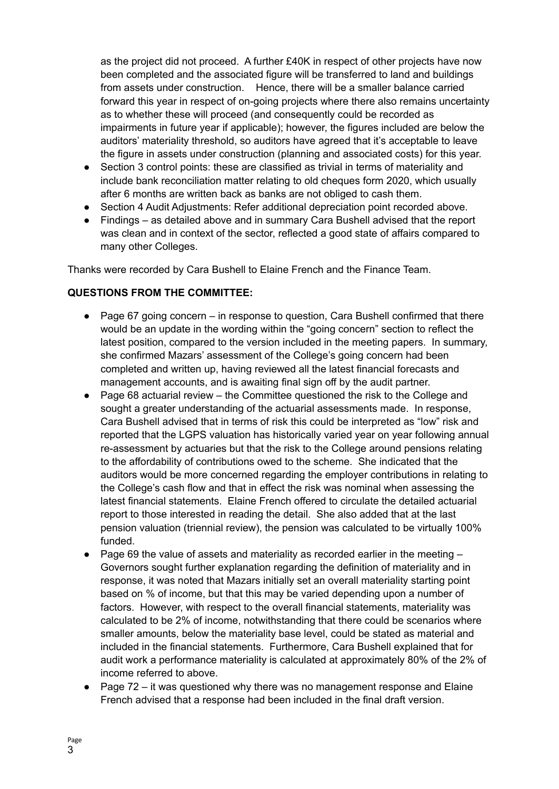as the project did not proceed. A further £40K in respect of other projects have now been completed and the associated figure will be transferred to land and buildings from assets under construction. Hence, there will be a smaller balance carried forward this year in respect of on-going projects where there also remains uncertainty as to whether these will proceed (and consequently could be recorded as impairments in future year if applicable); however, the figures included are below the auditors' materiality threshold, so auditors have agreed that it's acceptable to leave the figure in assets under construction (planning and associated costs) for this year.

- Section 3 control points: these are classified as trivial in terms of materiality and include bank reconciliation matter relating to old cheques form 2020, which usually after 6 months are written back as banks are not obliged to cash them.
- Section 4 Audit Adjustments: Refer additional depreciation point recorded above.
- Findings as detailed above and in summary Cara Bushell advised that the report was clean and in context of the sector, reflected a good state of affairs compared to many other Colleges.

Thanks were recorded by Cara Bushell to Elaine French and the Finance Team.

#### **QUESTIONS FROM THE COMMITTEE:**

- Page 67 going concern in response to question, Cara Bushell confirmed that there would be an update in the wording within the "going concern" section to reflect the latest position, compared to the version included in the meeting papers. In summary, she confirmed Mazars' assessment of the College's going concern had been completed and written up, having reviewed all the latest financial forecasts and management accounts, and is awaiting final sign off by the audit partner.
- Page 68 actuarial review the Committee guestioned the risk to the College and sought a greater understanding of the actuarial assessments made. In response, Cara Bushell advised that in terms of risk this could be interpreted as "low" risk and reported that the LGPS valuation has historically varied year on year following annual re-assessment by actuaries but that the risk to the College around pensions relating to the affordability of contributions owed to the scheme. She indicated that the auditors would be more concerned regarding the employer contributions in relating to the College's cash flow and that in effect the risk was nominal when assessing the latest financial statements. Elaine French offered to circulate the detailed actuarial report to those interested in reading the detail. She also added that at the last pension valuation (triennial review), the pension was calculated to be virtually 100% funded.
- Page 69 the value of assets and materiality as recorded earlier in the meeting  $-$ Governors sought further explanation regarding the definition of materiality and in response, it was noted that Mazars initially set an overall materiality starting point based on % of income, but that this may be varied depending upon a number of factors. However, with respect to the overall financial statements, materiality was calculated to be 2% of income, notwithstanding that there could be scenarios where smaller amounts, below the materiality base level, could be stated as material and included in the financial statements. Furthermore, Cara Bushell explained that for audit work a performance materiality is calculated at approximately 80% of the 2% of income referred to above.
- $\bullet$  Page 72 it was questioned why there was no management response and Elaine French advised that a response had been included in the final draft version.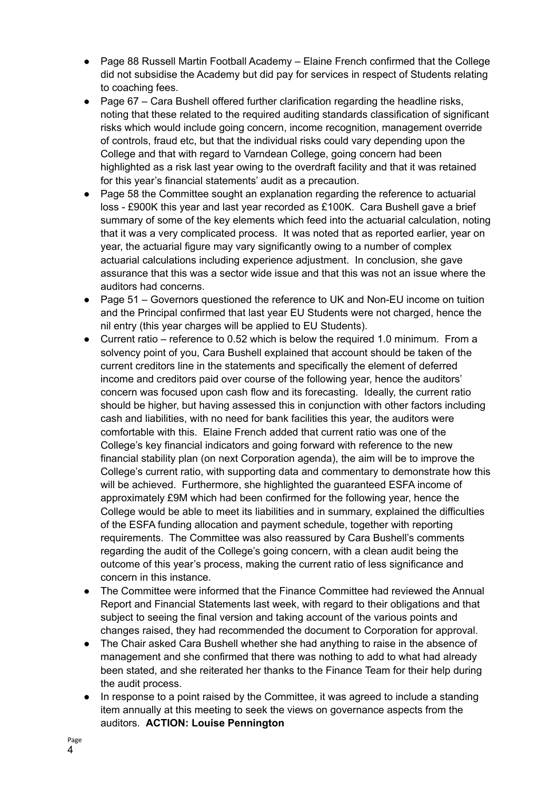- Page 88 Russell Martin Football Academy Elaine French confirmed that the College did not subsidise the Academy but did pay for services in respect of Students relating to coaching fees.
- Page 67 Cara Bushell offered further clarification regarding the headline risks, noting that these related to the required auditing standards classification of significant risks which would include going concern, income recognition, management override of controls, fraud etc, but that the individual risks could vary depending upon the College and that with regard to Varndean College, going concern had been highlighted as a risk last year owing to the overdraft facility and that it was retained for this year's financial statements' audit as a precaution.
- Page 58 the Committee sought an explanation regarding the reference to actuarial loss - £900K this year and last year recorded as £100K. Cara Bushell gave a brief summary of some of the key elements which feed into the actuarial calculation, noting that it was a very complicated process. It was noted that as reported earlier, year on year, the actuarial figure may vary significantly owing to a number of complex actuarial calculations including experience adjustment. In conclusion, she gave assurance that this was a sector wide issue and that this was not an issue where the auditors had concerns.
- Page 51 Governors questioned the reference to UK and Non-EU income on tuition and the Principal confirmed that last year EU Students were not charged, hence the nil entry (this year charges will be applied to EU Students).
- Current ratio reference to 0.52 which is below the required 1.0 minimum. From a solvency point of you, Cara Bushell explained that account should be taken of the current creditors line in the statements and specifically the element of deferred income and creditors paid over course of the following year, hence the auditors' concern was focused upon cash flow and its forecasting. Ideally, the current ratio should be higher, but having assessed this in conjunction with other factors including cash and liabilities, with no need for bank facilities this year, the auditors were comfortable with this. Elaine French added that current ratio was one of the College's key financial indicators and going forward with reference to the new financial stability plan (on next Corporation agenda), the aim will be to improve the College's current ratio, with supporting data and commentary to demonstrate how this will be achieved. Furthermore, she highlighted the guaranteed ESFA income of approximately £9M which had been confirmed for the following year, hence the College would be able to meet its liabilities and in summary, explained the difficulties of the ESFA funding allocation and payment schedule, together with reporting requirements. The Committee was also reassured by Cara Bushell's comments regarding the audit of the College's going concern, with a clean audit being the outcome of this year's process, making the current ratio of less significance and concern in this instance.
- The Committee were informed that the Finance Committee had reviewed the Annual Report and Financial Statements last week, with regard to their obligations and that subject to seeing the final version and taking account of the various points and changes raised, they had recommended the document to Corporation for approval.
- The Chair asked Cara Bushell whether she had anything to raise in the absence of management and she confirmed that there was nothing to add to what had already been stated, and she reiterated her thanks to the Finance Team for their help during the audit process.
- In response to a point raised by the Committee, it was agreed to include a standing item annually at this meeting to seek the views on governance aspects from the auditors. **ACTION: Louise Pennington**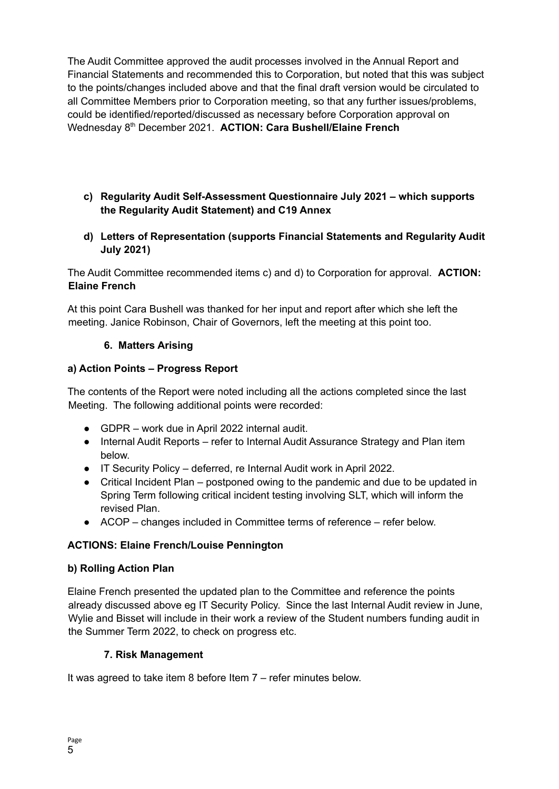The Audit Committee approved the audit processes involved in the Annual Report and Financial Statements and recommended this to Corporation, but noted that this was subject to the points/changes included above and that the final draft version would be circulated to all Committee Members prior to Corporation meeting, so that any further issues/problems, could be identified/reported/discussed as necessary before Corporation approval on Wednesday 8 th December 2021. **ACTION: Cara Bushell/Elaine French**

- **c) Regularity Audit Self-Assessment Questionnaire July 2021 – which supports the Regularity Audit Statement) and C19 Annex**
- **d) Letters of Representation (supports Financial Statements and Regularity Audit July 2021)**

The Audit Committee recommended items c) and d) to Corporation for approval. **ACTION: Elaine French**

At this point Cara Bushell was thanked for her input and report after which she left the meeting. Janice Robinson, Chair of Governors, left the meeting at this point too.

#### **6. Matters Arising**

#### **a) Action Points – Progress Report**

The contents of the Report were noted including all the actions completed since the last Meeting. The following additional points were recorded:

- GDPR work due in April 2022 internal audit.
- Internal Audit Reports refer to Internal Audit Assurance Strategy and Plan item below.
- IT Security Policy deferred, re Internal Audit work in April 2022.
- Critical Incident Plan postponed owing to the pandemic and due to be updated in Spring Term following critical incident testing involving SLT, which will inform the revised Plan.
- ACOP changes included in Committee terms of reference refer below.

#### **ACTIONS: Elaine French/Louise Pennington**

#### **b) Rolling Action Plan**

Elaine French presented the updated plan to the Committee and reference the points already discussed above eg IT Security Policy. Since the last Internal Audit review in June, Wylie and Bisset will include in their work a review of the Student numbers funding audit in the Summer Term 2022, to check on progress etc.

#### **7. Risk Management**

It was agreed to take item 8 before Item 7 – refer minutes below.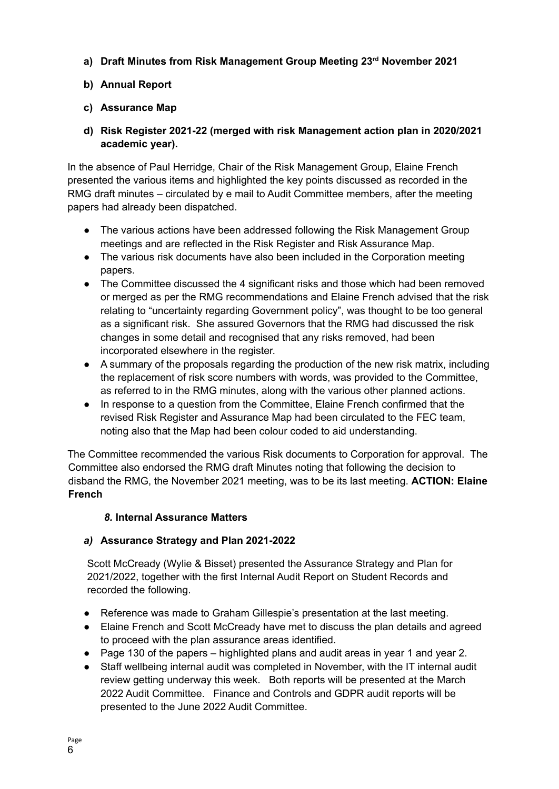**a) Draft Minutes from Risk Management Group Meeting 23 rd November 2021**

## **b) Annual Report**

## **c) Assurance Map**

**d) Risk Register 2021-22 (merged with risk Management action plan in 2020/2021 academic year).**

In the absence of Paul Herridge, Chair of the Risk Management Group, Elaine French presented the various items and highlighted the key points discussed as recorded in the RMG draft minutes – circulated by e mail to Audit Committee members, after the meeting papers had already been dispatched.

- The various actions have been addressed following the Risk Management Group meetings and are reflected in the Risk Register and Risk Assurance Map.
- The various risk documents have also been included in the Corporation meeting papers.
- The Committee discussed the 4 significant risks and those which had been removed or merged as per the RMG recommendations and Elaine French advised that the risk relating to "uncertainty regarding Government policy", was thought to be too general as a significant risk. She assured Governors that the RMG had discussed the risk changes in some detail and recognised that any risks removed, had been incorporated elsewhere in the register.
- A summary of the proposals regarding the production of the new risk matrix, including the replacement of risk score numbers with words, was provided to the Committee, as referred to in the RMG minutes, along with the various other planned actions.
- In response to a question from the Committee, Elaine French confirmed that the revised Risk Register and Assurance Map had been circulated to the FEC team, noting also that the Map had been colour coded to aid understanding.

The Committee recommended the various Risk documents to Corporation for approval. The Committee also endorsed the RMG draft Minutes noting that following the decision to disband the RMG, the November 2021 meeting, was to be its last meeting. **ACTION: Elaine French**

### *8.* **Internal Assurance Matters**

### *a)* **Assurance Strategy and Plan 2021-2022**

Scott McCready (Wylie & Bisset) presented the Assurance Strategy and Plan for 2021/2022, together with the first Internal Audit Report on Student Records and recorded the following.

- Reference was made to Graham Gillespie's presentation at the last meeting.
- Elaine French and Scott McCready have met to discuss the plan details and agreed to proceed with the plan assurance areas identified.
- Page 130 of the papers highlighted plans and audit areas in year 1 and year 2.
- Staff wellbeing internal audit was completed in November, with the IT internal audit review getting underway this week. Both reports will be presented at the March 2022 Audit Committee. Finance and Controls and GDPR audit reports will be presented to the June 2022 Audit Committee.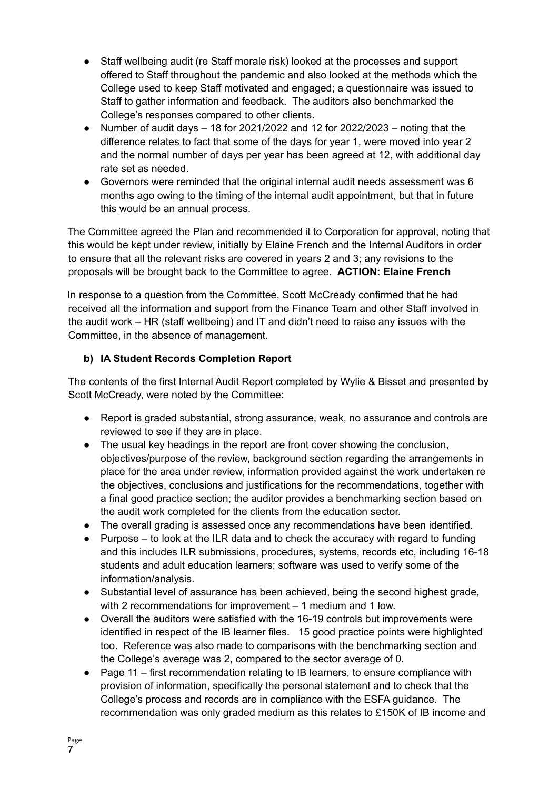- Staff wellbeing audit (re Staff morale risk) looked at the processes and support offered to Staff throughout the pandemic and also looked at the methods which the College used to keep Staff motivated and engaged; a questionnaire was issued to Staff to gather information and feedback. The auditors also benchmarked the College's responses compared to other clients.
- Number of audit days  $-18$  for 2021/2022 and 12 for 2022/2023 noting that the difference relates to fact that some of the days for year 1, were moved into year 2 and the normal number of days per year has been agreed at 12, with additional day rate set as needed.
- Governors were reminded that the original internal audit needs assessment was 6 months ago owing to the timing of the internal audit appointment, but that in future this would be an annual process.

The Committee agreed the Plan and recommended it to Corporation for approval, noting that this would be kept under review, initially by Elaine French and the Internal Auditors in order to ensure that all the relevant risks are covered in years 2 and 3; any revisions to the proposals will be brought back to the Committee to agree. **ACTION: Elaine French**

In response to a question from the Committee, Scott McCready confirmed that he had received all the information and support from the Finance Team and other Staff involved in the audit work – HR (staff wellbeing) and IT and didn't need to raise any issues with the Committee, in the absence of management.

### **b) IA Student Records Completion Report**

The contents of the first Internal Audit Report completed by Wylie & Bisset and presented by Scott McCready, were noted by the Committee:

- Report is graded substantial, strong assurance, weak, no assurance and controls are reviewed to see if they are in place.
- The usual key headings in the report are front cover showing the conclusion, objectives/purpose of the review, background section regarding the arrangements in place for the area under review, information provided against the work undertaken re the objectives, conclusions and justifications for the recommendations, together with a final good practice section; the auditor provides a benchmarking section based on the audit work completed for the clients from the education sector.
- The overall grading is assessed once any recommendations have been identified.
- Purpose to look at the ILR data and to check the accuracy with regard to funding and this includes ILR submissions, procedures, systems, records etc, including 16-18 students and adult education learners; software was used to verify some of the information/analysis.
- Substantial level of assurance has been achieved, being the second highest grade, with 2 recommendations for improvement – 1 medium and 1 low.
- Overall the auditors were satisfied with the 16-19 controls but improvements were identified in respect of the IB learner files. 15 good practice points were highlighted too. Reference was also made to comparisons with the benchmarking section and the College's average was 2, compared to the sector average of 0.
- Page 11 first recommendation relating to IB learners, to ensure compliance with provision of information, specifically the personal statement and to check that the College's process and records are in compliance with the ESFA guidance. The recommendation was only graded medium as this relates to £150K of IB income and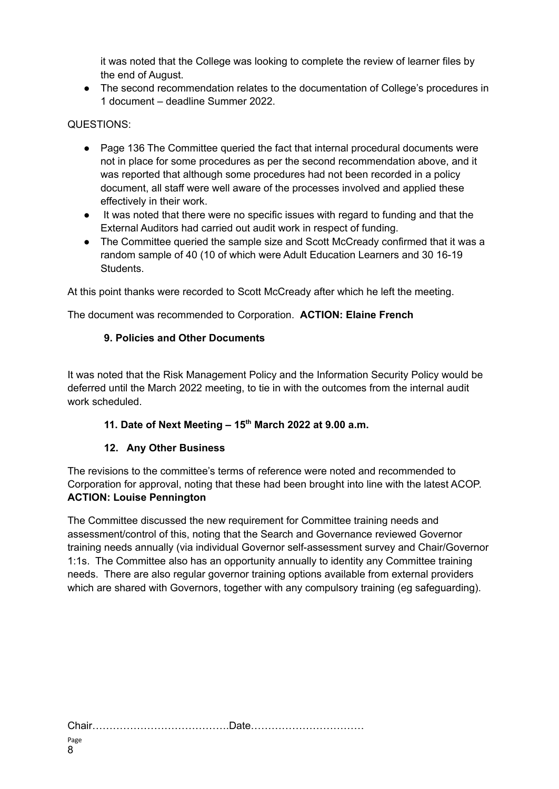it was noted that the College was looking to complete the review of learner files by the end of August.

● The second recommendation relates to the documentation of College's procedures in 1 document – deadline Summer 2022.

### QUESTIONS:

- Page 136 The Committee queried the fact that internal procedural documents were not in place for some procedures as per the second recommendation above, and it was reported that although some procedures had not been recorded in a policy document, all staff were well aware of the processes involved and applied these effectively in their work.
- It was noted that there were no specific issues with regard to funding and that the External Auditors had carried out audit work in respect of funding.
- The Committee queried the sample size and Scott McCready confirmed that it was a random sample of 40 (10 of which were Adult Education Learners and 30 16-19 Students.

At this point thanks were recorded to Scott McCready after which he left the meeting.

The document was recommended to Corporation. **ACTION: Elaine French**

#### **9. Policies and Other Documents**

It was noted that the Risk Management Policy and the Information Security Policy would be deferred until the March 2022 meeting, to tie in with the outcomes from the internal audit work scheduled.

#### **11. Date of Next Meeting – 15 th March 2022 at 9.00 a.m.**

#### **12. Any Other Business**

The revisions to the committee's terms of reference were noted and recommended to Corporation for approval, noting that these had been brought into line with the latest ACOP. **ACTION: Louise Pennington**

The Committee discussed the new requirement for Committee training needs and assessment/control of this, noting that the Search and Governance reviewed Governor training needs annually (via individual Governor self-assessment survey and Chair/Governor 1:1s. The Committee also has an opportunity annually to identity any Committee training needs. There are also regular governor training options available from external providers which are shared with Governors, together with any compulsory training (eg safeguarding).

Chair………………………………….Date……………………………